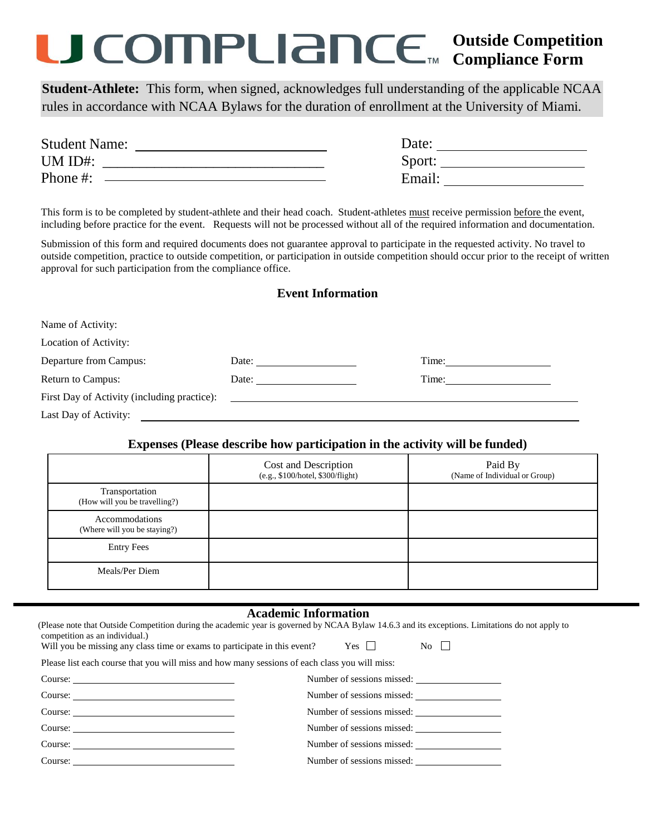## **Outside Competition Compliance Form**

**Student-Athlete:** This form, when signed, acknowledges full understanding of the applicable NCAA rules in accordance with NCAA Bylaws for the duration of enrollment at the University of Miami.

| <b>Student Name:</b> | Date:  |
|----------------------|--------|
| UM ID#:              | Sport: |
| Phone#:              | Email: |

This form is to be completed by student-athlete and their head coach. Student-athletes must receive permission before the event, including before practice for the event. Requests will not be processed without all of the required information and documentation.

Submission of this form and required documents does not guarantee approval to participate in the requested activity. No travel to outside competition, practice to outside competition, or participation in outside competition should occur prior to the receipt of written approval for such participation from the compliance office.

|  |  | <b>Event Information</b> |  |
|--|--|--------------------------|--|
|--|--|--------------------------|--|

| Name of Activity:                           |                                                                                                                                                                                                                                |       |
|---------------------------------------------|--------------------------------------------------------------------------------------------------------------------------------------------------------------------------------------------------------------------------------|-------|
| Location of Activity:                       |                                                                                                                                                                                                                                |       |
| Departure from Campus:                      | Date: the contract of the contract of the contract of the contract of the contract of the contract of the contract of the contract of the contract of the contract of the contract of the contract of the contract of the cont | Time: |
| <b>Return to Campus:</b>                    | Date: the contract of the contract of the contract of the contract of the contract of the contract of the contract of the contract of the contract of the contract of the contract of the contract of the contract of the cont |       |
| First Day of Activity (including practice): |                                                                                                                                                                                                                                |       |
| Last Day of Activity:                       |                                                                                                                                                                                                                                |       |

#### **Expenses (Please describe how participation in the activity will be funded)**

|                                                 | Cost and Description<br>(e.g., \$100/hotel, \$300/flight) | Paid By<br>(Name of Individual or Group) |
|-------------------------------------------------|-----------------------------------------------------------|------------------------------------------|
| Transportation<br>(How will you be travelling?) |                                                           |                                          |
| Accommodations<br>(Where will you be staying?)  |                                                           |                                          |
| <b>Entry Fees</b>                               |                                                           |                                          |
| Meals/Per Diem                                  |                                                           |                                          |

#### **Academic Information**

| (Please note that Outside Competition during the academic year is governed by NCAA Bylaw 14.6.3 and its exceptions. Limitations do not apply to<br>competition as an individual.)<br>Will you be missing any class time or exams to participate in this event? Yes $\Box$ No $\Box$ |  |                            |  |
|-------------------------------------------------------------------------------------------------------------------------------------------------------------------------------------------------------------------------------------------------------------------------------------|--|----------------------------|--|
| Please list each course that you will miss and how many sessions of each class you will miss:                                                                                                                                                                                       |  |                            |  |
|                                                                                                                                                                                                                                                                                     |  | Number of sessions missed: |  |
| $Course: \_$                                                                                                                                                                                                                                                                        |  | Number of sessions missed: |  |
| $Course: ____________$                                                                                                                                                                                                                                                              |  | Number of sessions missed: |  |
| $Course: ____________$                                                                                                                                                                                                                                                              |  | Number of sessions missed: |  |
|                                                                                                                                                                                                                                                                                     |  | Number of sessions missed: |  |
|                                                                                                                                                                                                                                                                                     |  |                            |  |
|                                                                                                                                                                                                                                                                                     |  |                            |  |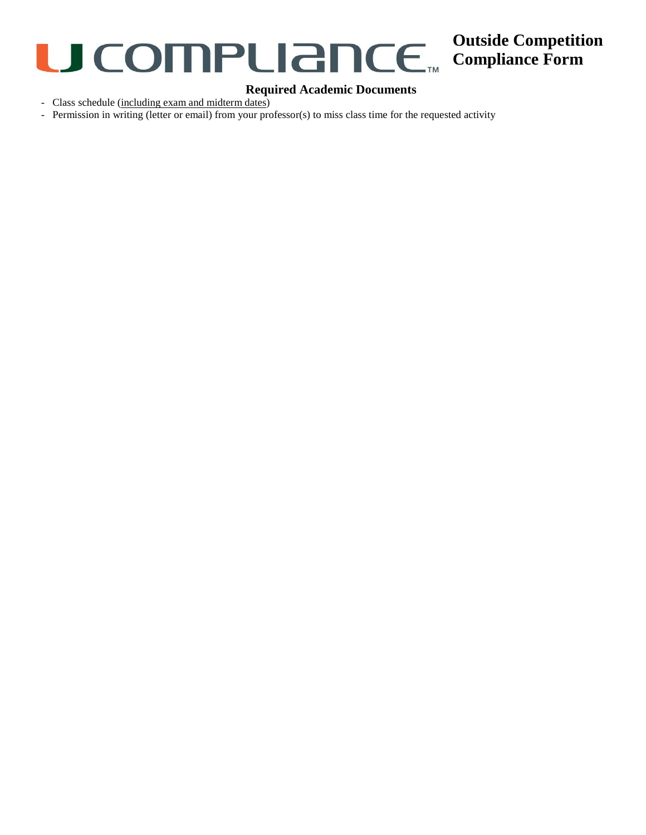

### **Outside Competition Compliance Form**

#### **Required Academic Documents**

- Class schedule (including exam and midterm dates)

- Permission in writing (letter or email) from your professor(s) to miss class time for the requested activity